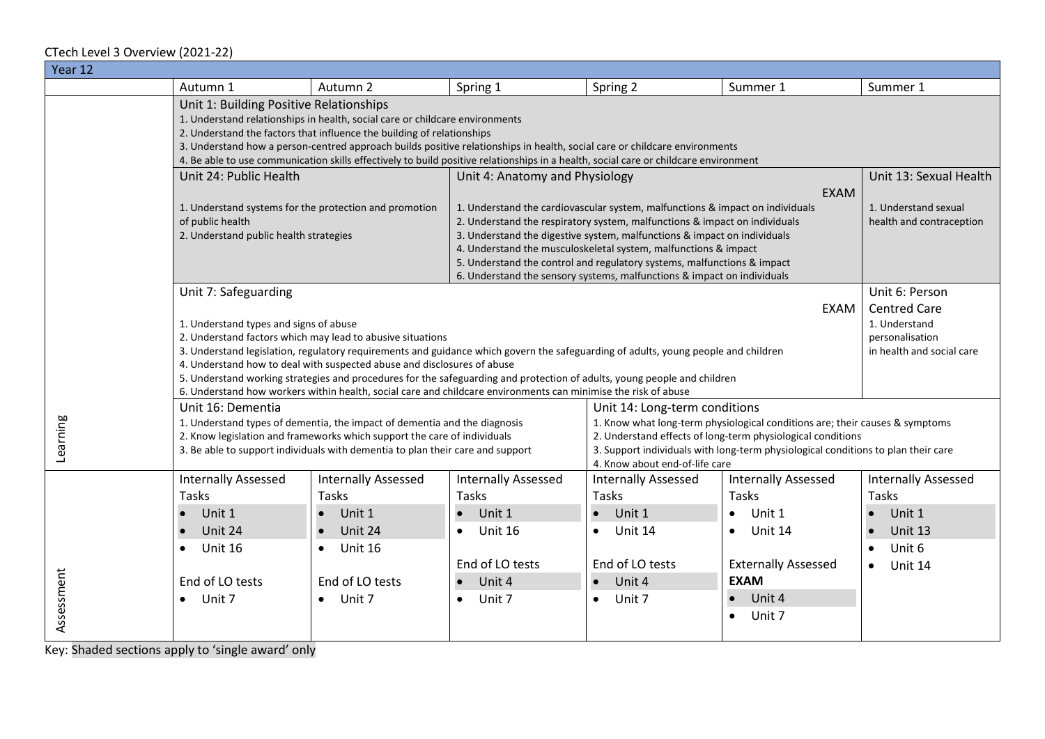## CTech Level 3 Overview (2021-22)

| Year 12    |                                                                                                                                                                                                                                                                                                                                                                                                                                                                                                                                                                                             |                                                                                                                                                                                                                                         |                                                                                                                                                                                                                                                                                                                                                                                                                                                                                                    |                                                                                                                                                                                                                                                                                                     |                                                                                                                                                                  |                                                                                                                |  |  |  |  |  |
|------------|---------------------------------------------------------------------------------------------------------------------------------------------------------------------------------------------------------------------------------------------------------------------------------------------------------------------------------------------------------------------------------------------------------------------------------------------------------------------------------------------------------------------------------------------------------------------------------------------|-----------------------------------------------------------------------------------------------------------------------------------------------------------------------------------------------------------------------------------------|----------------------------------------------------------------------------------------------------------------------------------------------------------------------------------------------------------------------------------------------------------------------------------------------------------------------------------------------------------------------------------------------------------------------------------------------------------------------------------------------------|-----------------------------------------------------------------------------------------------------------------------------------------------------------------------------------------------------------------------------------------------------------------------------------------------------|------------------------------------------------------------------------------------------------------------------------------------------------------------------|----------------------------------------------------------------------------------------------------------------|--|--|--|--|--|
|            | Autumn 1                                                                                                                                                                                                                                                                                                                                                                                                                                                                                                                                                                                    | Autumn 2                                                                                                                                                                                                                                | Spring 1                                                                                                                                                                                                                                                                                                                                                                                                                                                                                           | Spring 2                                                                                                                                                                                                                                                                                            | Summer 1                                                                                                                                                         | Summer 1                                                                                                       |  |  |  |  |  |
|            | Unit 1: Building Positive Relationships<br>1. Understand relationships in health, social care or childcare environments<br>2. Understand the factors that influence the building of relationships<br>3. Understand how a person-centred approach builds positive relationships in health, social care or childcare environments<br>4. Be able to use communication skills effectively to build positive relationships in a health, social care or childcare environment                                                                                                                     |                                                                                                                                                                                                                                         |                                                                                                                                                                                                                                                                                                                                                                                                                                                                                                    |                                                                                                                                                                                                                                                                                                     |                                                                                                                                                                  |                                                                                                                |  |  |  |  |  |
|            | Unit 24: Public Health<br>1. Understand systems for the protection and promotion<br>of public health<br>2. Understand public health strategies                                                                                                                                                                                                                                                                                                                                                                                                                                              |                                                                                                                                                                                                                                         | Unit 4: Anatomy and Physiology<br>1. Understand the cardiovascular system, malfunctions & impact on individuals<br>2. Understand the respiratory system, malfunctions & impact on individuals<br>3. Understand the digestive system, malfunctions & impact on individuals<br>4. Understand the musculoskeletal system, malfunctions & impact<br>5. Understand the control and regulatory systems, malfunctions & impact<br>6. Understand the sensory systems, malfunctions & impact on individuals | Unit 13: Sexual Health<br>1. Understand sexual<br>health and contraception                                                                                                                                                                                                                          |                                                                                                                                                                  |                                                                                                                |  |  |  |  |  |
|            | Unit 7: Safeguarding<br>1. Understand types and signs of abuse<br>2. Understand factors which may lead to abusive situations<br>3. Understand legislation, regulatory requirements and guidance which govern the safeguarding of adults, young people and children<br>4. Understand how to deal with suspected abuse and disclosures of abuse<br>5. Understand working strategies and procedures for the safeguarding and protection of adults, young people and children<br>6. Understand how workers within health, social care and childcare environments can minimise the risk of abuse | Unit 6: Person<br><b>Centred Care</b><br>1. Understand<br>personalisation<br>in health and social care                                                                                                                                  |                                                                                                                                                                                                                                                                                                                                                                                                                                                                                                    |                                                                                                                                                                                                                                                                                                     |                                                                                                                                                                  |                                                                                                                |  |  |  |  |  |
| Learning   | Unit 16: Dementia                                                                                                                                                                                                                                                                                                                                                                                                                                                                                                                                                                           | 1. Understand types of dementia, the impact of dementia and the diagnosis<br>2. Know legislation and frameworks which support the care of individuals<br>3. Be able to support individuals with dementia to plan their care and support |                                                                                                                                                                                                                                                                                                                                                                                                                                                                                                    | Unit 14: Long-term conditions<br>1. Know what long-term physiological conditions are; their causes & symptoms<br>2. Understand effects of long-term physiological conditions<br>3. Support individuals with long-term physiological conditions to plan their care<br>4. Know about end-of-life care |                                                                                                                                                                  |                                                                                                                |  |  |  |  |  |
| Assessment | <b>Internally Assessed</b><br>Tasks<br>Unit 1<br>Unit 24<br>$\bullet$<br>Unit 16<br>$\bullet$<br>End of LO tests<br>Unit 7<br>$\bullet$                                                                                                                                                                                                                                                                                                                                                                                                                                                     | <b>Internally Assessed</b><br>Tasks<br>Unit 1<br>Unit 24<br>Unit 16<br>$\bullet$<br>End of LO tests<br>Unit 7<br>$\bullet$                                                                                                              | <b>Internally Assessed</b><br>Tasks<br>Unit 1<br>Unit 16<br>End of LO tests<br>Unit 4<br>Unit 7<br>$\bullet$                                                                                                                                                                                                                                                                                                                                                                                       | <b>Internally Assessed</b><br>Tasks<br>$\bullet$ Unit 1<br>Unit 14<br>$\bullet$<br>End of LO tests<br>Unit 4<br>$\bullet$<br>Unit 7<br>$\bullet$                                                                                                                                                    | <b>Internally Assessed</b><br>Tasks<br>Unit 1<br>$\bullet$<br>Unit 14<br>$\bullet$<br><b>Externally Assessed</b><br><b>EXAM</b><br>Unit 4<br>Unit 7<br>$\bullet$ | <b>Internally Assessed</b><br><b>Tasks</b><br>Unit 1<br>Unit 13<br>Unit 6<br>$\bullet$<br>Unit 14<br>$\bullet$ |  |  |  |  |  |

Key: Shaded sections apply to 'single award' only